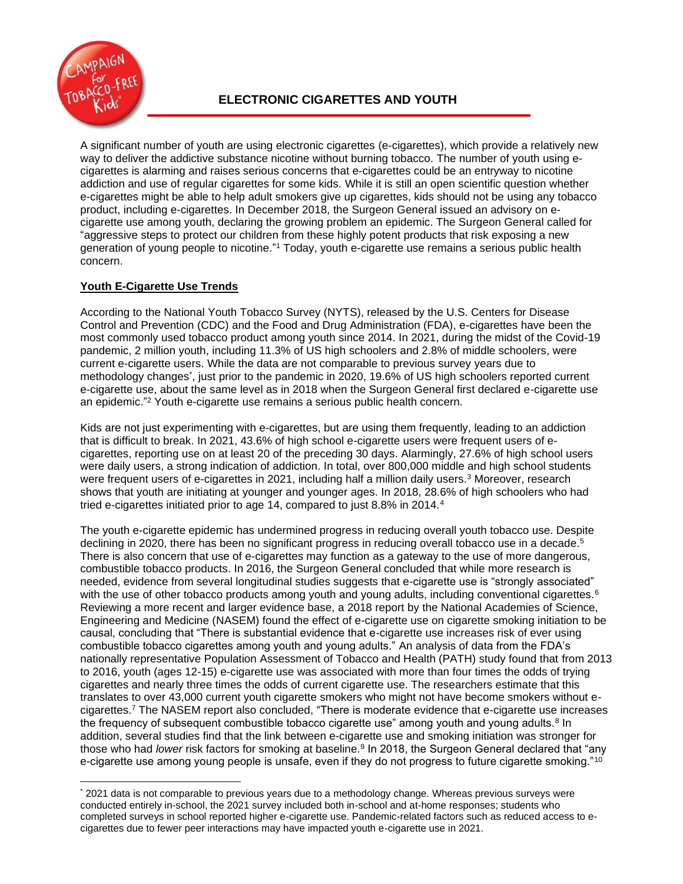

A significant number of youth are using electronic cigarettes (e-cigarettes), which provide a relatively new way to deliver the addictive substance nicotine without burning tobacco. The number of youth using ecigarettes is alarming and raises serious concerns that e-cigarettes could be an entryway to nicotine addiction and use of regular cigarettes for some kids. While it is still an open scientific question whether e-cigarettes might be able to help adult smokers give up cigarettes, kids should not be using any tobacco product, including e-cigarettes. In December 2018, the Surgeon General issued an advisory on ecigarette use among youth, declaring the growing problem an epidemic. The Surgeon General called for "aggressive steps to protect our children from these highly potent products that risk exposing a new generation of young people to nicotine." <sup>1</sup> Today, youth e-cigarette use remains a serious public health concern.

# **Youth E-Cigarette Use Trends**

According to the National Youth Tobacco Survey (NYTS), released by the U.S. Centers for Disease Control and Prevention (CDC) and the Food and Drug Administration (FDA), e-cigarettes have been the most commonly used tobacco product among youth since 2014. In 2021, during the midst of the Covid-19 pandemic, 2 million youth, including 11.3% of US high schoolers and 2.8% of middle schoolers, were current e-cigarette users. While the data are not comparable to previous survey years due to methodology changes\* , just prior to the pandemic in 2020, 19.6% of US high schoolers reported current e-cigarette use, about the same level as in 2018 when the Surgeon General first declared e-cigarette use an epidemic." <sup>2</sup> Youth e-cigarette use remains a serious public health concern.

Kids are not just experimenting with e-cigarettes, but are using them frequently, leading to an addiction that is difficult to break. In 2021, 43.6% of high school e-cigarette users were frequent users of ecigarettes, reporting use on at least 20 of the preceding 30 days. Alarmingly, 27.6% of high school users were daily users, a strong indication of addiction. In total, over 800,000 middle and high school students were frequent users of e-cigarettes in 2021, including half a million daily users.<sup>3</sup> Moreover, research shows that youth are initiating at younger and younger ages. In 2018, 28.6% of high schoolers who had tried e-cigarettes initiated prior to age 14, compared to just 8.8% in 2014.<sup>4</sup>

The youth e-cigarette epidemic has undermined progress in reducing overall youth tobacco use. Despite declining in 2020, there has been no significant progress in reducing overall tobacco use in a decade.<sup>5</sup> There is also concern that use of e-cigarettes may function as a gateway to the use of more dangerous, combustible tobacco products. In 2016, the Surgeon General concluded that while more research is needed, evidence from several longitudinal studies suggests that e-cigarette use is "strongly associated" with the use of other tobacco products among youth and young adults, including conventional cigarettes.<sup>6</sup> Reviewing a more recent and larger evidence base, a 2018 report by the National Academies of Science, Engineering and Medicine (NASEM) found the effect of e-cigarette use on cigarette smoking initiation to be causal, concluding that "There is substantial evidence that e-cigarette use increases risk of ever using combustible tobacco cigarettes among youth and young adults." An analysis of data from the FDA's nationally representative Population Assessment of Tobacco and Health (PATH) study found that from 2013 to 2016, youth (ages 12-15) e-cigarette use was associated with more than four times the odds of trying cigarettes and nearly three times the odds of current cigarette use. The researchers estimate that this translates to over 43,000 current youth cigarette smokers who might not have become smokers without ecigarettes.<sup>7</sup> The NASEM report also concluded, "There is moderate evidence that e-cigarette use increases the frequency of subsequent combustible tobacco cigarette use" among youth and young adults.<sup>8</sup> In addition, several studies find that the link between e-cigarette use and smoking initiation was stronger for those who had *lower* risk factors for smoking at baseline.<sup>9</sup> In 2018, the Surgeon General declared that "any e-cigarette use among young people is unsafe, even if they do not progress to future cigarette smoking."<sup>10</sup>

<sup>\*</sup> 2021 data is not comparable to previous years due to a methodology change. Whereas previous surveys were conducted entirely in-school, the 2021 survey included both in-school and at-home responses; students who completed surveys in school reported higher e-cigarette use. Pandemic-related factors such as reduced access to ecigarettes due to fewer peer interactions may have impacted youth e-cigarette use in 2021.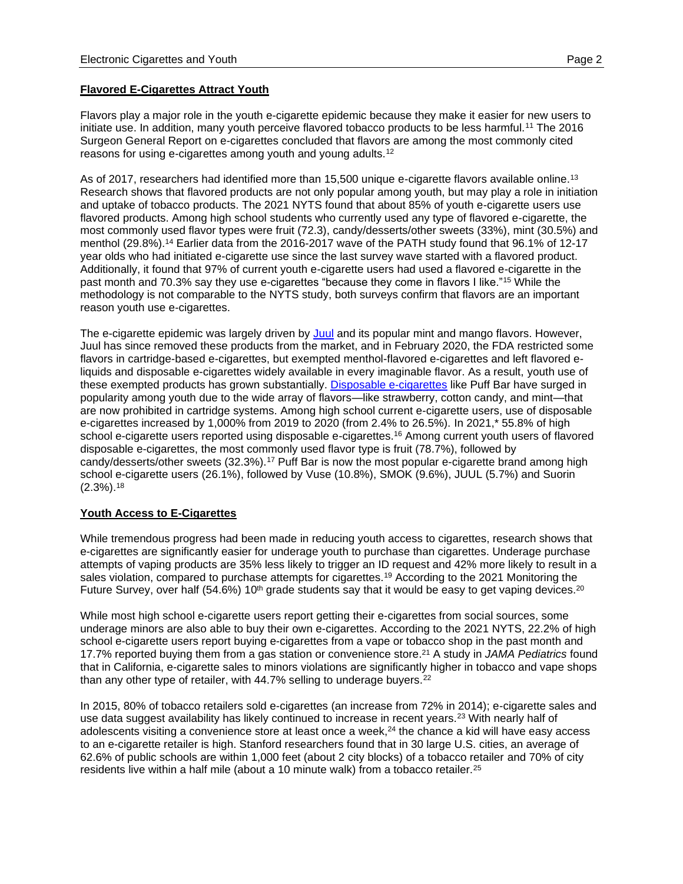### **Flavored E-Cigarettes Attract Youth**

Flavors play a major role in the youth e-cigarette epidemic because they make it easier for new users to initiate use. In addition, many youth perceive flavored tobacco products to be less harmful.<sup>11</sup> The 2016 Surgeon General Report on e-cigarettes concluded that flavors are among the most commonly cited reasons for using e-cigarettes among youth and young adults.<sup>12</sup>

As of 2017, researchers had identified more than 15,500 unique e-cigarette flavors available online.<sup>13</sup> Research shows that flavored products are not only popular among youth, but may play a role in initiation and uptake of tobacco products. The 2021 NYTS found that about 85% of youth e-cigarette users use flavored products. Among high school students who currently used any type of flavored e-cigarette, the most commonly used flavor types were fruit (72.3), candy/desserts/other sweets (33%), mint (30.5%) and menthol (29.8%).<sup>14</sup> Earlier data from the 2016-2017 wave of the PATH study found that 96.1% of 12-17 year olds who had initiated e-cigarette use since the last survey wave started with a flavored product. Additionally, it found that 97% of current youth e-cigarette users had used a flavored e-cigarette in the past month and 70.3% say they use e-cigarettes "because they come in flavors I like."<sup>15</sup> While the methodology is not comparable to the NYTS study, both surveys confirm that flavors are an important reason youth use e-cigarettes.

The e-cigarette epidemic was largely driven by [Juul](https://www.tobaccofreekids.org/assets/factsheets/0394.pdf) and its popular mint and mango flavors. However, Juul has since removed these products from the market, and in February 2020, the FDA restricted some flavors in cartridge-based e-cigarettes, but exempted menthol-flavored e-cigarettes and left flavored eliquids and disposable e-cigarettes widely available in every imaginable flavor. As a result, youth use of these exempted products has grown substantially. [Disposable e-cigarettes](https://www.tobaccofreekids.org/assets/factsheets/0411.pdf) like Puff Bar have surged in popularity among youth due to the wide array of flavors—like strawberry, cotton candy, and mint—that are now prohibited in cartridge systems. Among high school current e-cigarette users, use of disposable e-cigarettes increased by 1,000% from 2019 to 2020 (from 2.4% to 26.5%). In 2021,\* 55.8% of high school e-cigarette users reported using disposable e-cigarettes.<sup>16</sup> Among current youth users of flavored disposable e-cigarettes, the most commonly used flavor type is fruit (78.7%), followed by candy/desserts/other sweets (32.3%).<sup>17</sup> Puff Bar is now the most popular e-cigarette brand among high school e-cigarette users (26.1%), followed by Vuse (10.8%), SMOK (9.6%), JUUL (5.7%) and Suorin (2.3%).<sup>18</sup>

#### **Youth Access to E-Cigarettes**

While tremendous progress had been made in reducing youth access to cigarettes, research shows that e-cigarettes are significantly easier for underage youth to purchase than cigarettes. Underage purchase attempts of vaping products are 35% less likely to trigger an ID request and 42% more likely to result in a sales violation, compared to purchase attempts for cigarettes.<sup>19</sup> According to the 2021 Monitoring the Future Survey, over half (54.6%) 10<sup>th</sup> grade students say that it would be easy to get vaping devices.<sup>20</sup>

While most high school e-cigarette users report getting their e-cigarettes from social sources, some underage minors are also able to buy their own e-cigarettes. According to the 2021 NYTS, 22.2% of high school e-cigarette users report buying e-cigarettes from a vape or tobacco shop in the past month and 17.7% reported buying them from a gas station or convenience store. <sup>21</sup> A study in *JAMA Pediatrics* found that in California, e-cigarette sales to minors violations are significantly higher in tobacco and vape shops than any other type of retailer, with 44.7% selling to underage buyers.<sup>22</sup>

In 2015, 80% of tobacco retailers sold e-cigarettes (an increase from 72% in 2014); e-cigarette sales and use data suggest availability has likely continued to increase in recent years.<sup>23</sup> With nearly half of adolescents visiting a convenience store at least once a week,<sup>24</sup> the chance a kid will have easy access to an e-cigarette retailer is high. Stanford researchers found that in 30 large U.S. cities, an average of 62.6% of public schools are within 1,000 feet (about 2 city blocks) of a tobacco retailer and 70% of city residents live within a half mile (about a 10 minute walk) from a tobacco retailer.<sup>25</sup>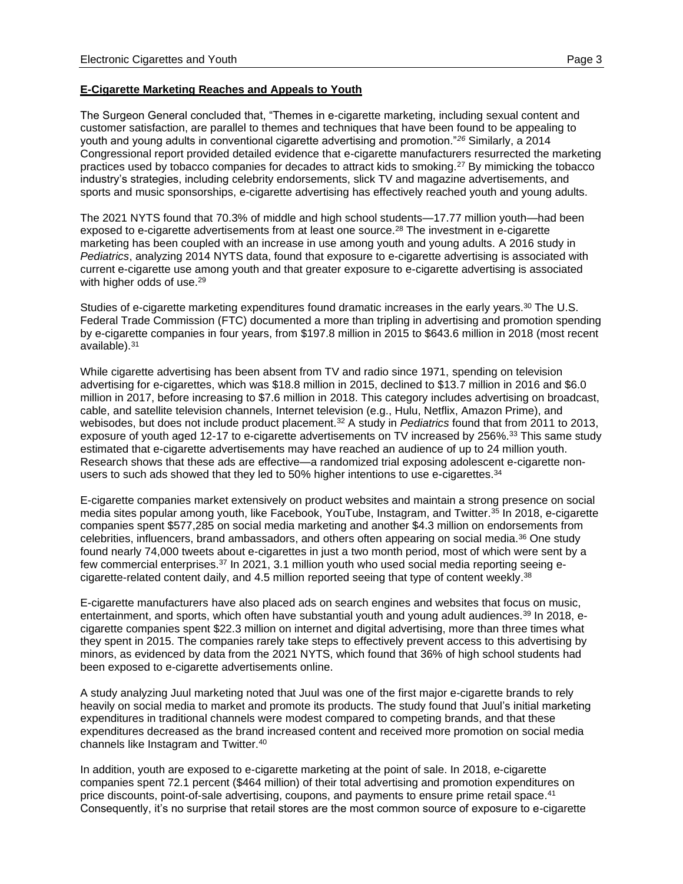### **E-Cigarette Marketing Reaches and Appeals to Youth**

The Surgeon General concluded that, "Themes in e-cigarette marketing, including sexual content and customer satisfaction, are parallel to themes and techniques that have been found to be appealing to youth and young adults in conventional cigarette advertising and promotion."*<sup>26</sup>* Similarly, a 2014 Congressional report provided detailed evidence that e-cigarette manufacturers resurrected the marketing practices used by tobacco companies for decades to attract kids to smoking.<sup>27</sup> By mimicking the tobacco industry's strategies, including celebrity endorsements, slick TV and magazine advertisements, and sports and music sponsorships, e-cigarette advertising has effectively reached youth and young adults.

The 2021 NYTS found that 70.3% of middle and high school students—17.77 million youth—had been exposed to e-cigarette advertisements from at least one source. <sup>28</sup> The investment in e-cigarette marketing has been coupled with an increase in use among youth and young adults. A 2016 study in *Pediatrics*, analyzing 2014 NYTS data, found that exposure to e-cigarette advertising is associated with current e-cigarette use among youth and that greater exposure to e-cigarette advertising is associated with higher odds of use.<sup>29</sup>

Studies of e-cigarette marketing expenditures found dramatic increases in the early years.<sup>30</sup> The U.S. Federal Trade Commission (FTC) documented a more than tripling in advertising and promotion spending by e-cigarette companies in four years, from \$197.8 million in 2015 to \$643.6 million in 2018 (most recent available).<sup>31</sup>

While cigarette advertising has been absent from TV and radio since 1971, spending on television advertising for e-cigarettes, which was \$18.8 million in 2015, declined to \$13.7 million in 2016 and \$6.0 million in 2017, before increasing to \$7.6 million in 2018. This category includes advertising on broadcast, cable, and satellite television channels, Internet television (e.g., Hulu, Netflix, Amazon Prime), and webisodes, but does not include product placement.<sup>32</sup> A study in *Pediatrics* found that from 2011 to 2013, exposure of youth aged 12-17 to e-cigarette advertisements on TV increased by 256%.<sup>33</sup> This same study estimated that e-cigarette advertisements may have reached an audience of up to 24 million youth. Research shows that these ads are effective—a randomized trial exposing adolescent e-cigarette nonusers to such ads showed that they led to  $50\%$  higher intentions to use e-cigarettes.<sup>34</sup>

E-cigarette companies market extensively on product websites and maintain a strong presence on social media sites popular among youth, like Facebook, YouTube, Instagram, and Twitter.<sup>35</sup> In 2018, e-cigarette companies spent \$577,285 on social media marketing and another \$4.3 million on endorsements from celebrities, influencers, brand ambassadors, and others often appearing on social media.<sup>36</sup> One study found nearly 74,000 tweets about e-cigarettes in just a two month period, most of which were sent by a few commercial enterprises.<sup>37</sup> In 2021, 3.1 million youth who used social media reporting seeing ecigarette-related content daily, and 4.5 million reported seeing that type of content weekly.<sup>38</sup>

E-cigarette manufacturers have also placed ads on search engines and websites that focus on music, entertainment, and sports, which often have substantial youth and young adult audiences.<sup>39</sup> In 2018, ecigarette companies spent \$22.3 million on internet and digital advertising, more than three times what they spent in 2015. The companies rarely take steps to effectively prevent access to this advertising by minors, as evidenced by data from the 2021 NYTS, which found that 36% of high school students had been exposed to e-cigarette advertisements online.

A study analyzing Juul marketing noted that Juul was one of the first major e-cigarette brands to rely heavily on social media to market and promote its products. The study found that Juul's initial marketing expenditures in traditional channels were modest compared to competing brands, and that these expenditures decreased as the brand increased content and received more promotion on social media channels like Instagram and Twitter.<sup>40</sup>

In addition, youth are exposed to e-cigarette marketing at the point of sale. In 2018, e-cigarette companies spent 72.1 percent (\$464 million) of their total advertising and promotion expenditures on price discounts, point-of-sale advertising, coupons, and payments to ensure prime retail space.<sup>41</sup> Consequently, it's no surprise that retail stores are the most common source of exposure to e-cigarette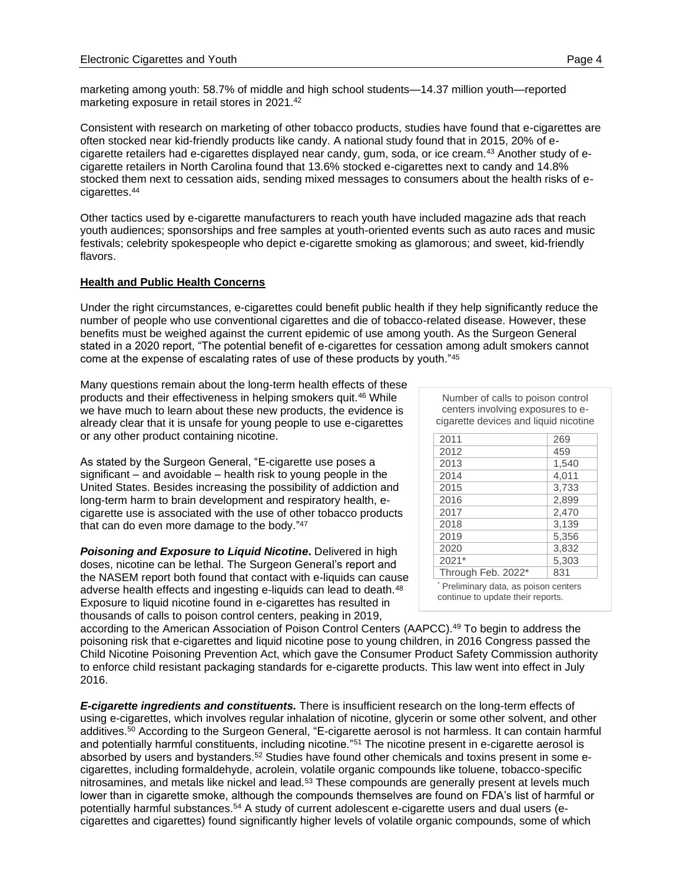marketing among youth: 58.7% of middle and high school students—14.37 million youth—reported marketing exposure in retail stores in 2021. 42

Consistent with research on marketing of other tobacco products, studies have found that e-cigarettes are often stocked near kid-friendly products like candy. A national study found that in 2015, 20% of ecigarette retailers had e-cigarettes displayed near candy, gum, soda, or ice cream.<sup>43</sup> Another study of ecigarette retailers in North Carolina found that 13.6% stocked e-cigarettes next to candy and 14.8% stocked them next to cessation aids, sending mixed messages to consumers about the health risks of ecigarettes.<sup>44</sup>

Other tactics used by e-cigarette manufacturers to reach youth have included magazine ads that reach youth audiences; sponsorships and free samples at youth-oriented events such as auto races and music festivals; celebrity spokespeople who depict e-cigarette smoking as glamorous; and sweet, kid-friendly flavors.

## **Health and Public Health Concerns**

Under the right circumstances, e-cigarettes could benefit public health if they help significantly reduce the number of people who use conventional cigarettes and die of tobacco-related disease. However, these benefits must be weighed against the current epidemic of use among youth. As the Surgeon General stated in a 2020 report, "The potential benefit of e-cigarettes for cessation among adult smokers cannot come at the expense of escalating rates of use of these products by youth."<sup>45</sup>

Many questions remain about the long-term health effects of these products and their effectiveness in helping smokers quit.<sup>46</sup> While we have much to learn about these new products, the evidence is already clear that it is unsafe for young people to use e-cigarettes or any other product containing nicotine.

As stated by the Surgeon General, "E-cigarette use poses a significant – and avoidable – health risk to young people in the United States. Besides increasing the possibility of addiction and long-term harm to brain development and respiratory health, ecigarette use is associated with the use of other tobacco products that can do even more damage to the body."<sup>47</sup>

*Poisoning and Exposure to Liquid Nicotine***.** Delivered in high doses, nicotine can be lethal. The Surgeon General's report and the NASEM report both found that contact with e-liquids can cause adverse health effects and ingesting e-liquids can lead to death.<sup>48</sup> Exposure to liquid nicotine found in e-cigarettes has resulted in thousands of calls to poison control centers, peaking in 2019,

**Number of calls to poison control**  Number of calls to poison control **centers involving exposures to e-**centers involving exposures to e**cigarette devices and liquid nicotine.\*** cigarette devices and liquid nicotine

| 2011                                                                       | 269   |
|----------------------------------------------------------------------------|-------|
| 2012                                                                       | 459   |
| 2013                                                                       | 1,540 |
| 2014                                                                       | 4,011 |
| 2015                                                                       | 3,733 |
| 2016                                                                       | 2,899 |
| 2017                                                                       | 2,470 |
| 2018                                                                       | 3,139 |
| 2019                                                                       | 5,356 |
| 2020                                                                       | 3,832 |
| 2021*                                                                      | 5,303 |
| Through Feb. 2022*                                                         | 831   |
| * Preliminary data, as poison centers<br>continue to update their reports. |       |

according to the American Association of Poison Control Centers (AAPCC).<sup>49</sup> To begin to address the poisoning risk that e-cigarettes and liquid nicotine pose to young children, in 2016 Congress passed the Child Nicotine Poisoning Prevention Act, which gave the Consumer Product Safety Commission authority to enforce child resistant packaging standards for e-cigarette products. This law went into effect in July 2016.

*E-cigarette ingredients and constituents.* There is insufficient research on the long-term effects of using e-cigarettes, which involves regular inhalation of nicotine, glycerin or some other solvent, and other additives.<sup>50</sup> According to the Surgeon General, "E-cigarette aerosol is not harmless. It can contain harmful and potentially harmful constituents, including nicotine."<sup>51</sup> The nicotine present in e-cigarette aerosol is absorbed by users and bystanders.<sup>52</sup> Studies have found other chemicals and toxins present in some ecigarettes, including formaldehyde, acrolein, volatile organic compounds like toluene, tobacco-specific nitrosamines, and metals like nickel and lead.<sup>53</sup> These compounds are generally present at levels much lower than in cigarette smoke, although the compounds themselves are found on FDA's list of harmful or potentially harmful substances.<sup>54</sup> A study of current adolescent e-cigarette users and dual users (ecigarettes and cigarettes) found significantly higher levels of volatile organic compounds, some of which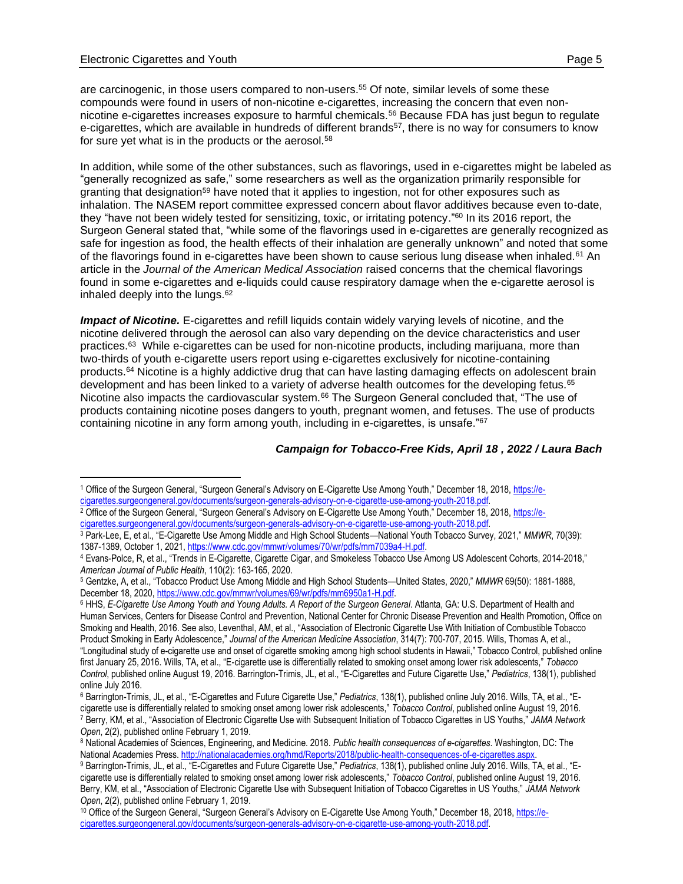are carcinogenic, in those users compared to non-users.<sup>55</sup> Of note, similar levels of some these compounds were found in users of non-nicotine e-cigarettes, increasing the concern that even nonnicotine e-cigarettes increases exposure to harmful chemicals.<sup>56</sup> Because FDA has just begun to regulate e-cigarettes, which are available in hundreds of different brands<sup>57</sup>, there is no way for consumers to know for sure yet what is in the products or the aerosol.<sup>58</sup>

In addition, while some of the other substances, such as flavorings, used in e-cigarettes might be labeled as "generally recognized as safe," some researchers as well as the organization primarily responsible for granting that designation<sup>59</sup> have noted that it applies to ingestion, not for other exposures such as inhalation. The NASEM report committee expressed concern about flavor additives because even to-date, they "have not been widely tested for sensitizing, toxic, or irritating potency."<sup>60</sup> In its 2016 report, the Surgeon General stated that, "while some of the flavorings used in e-cigarettes are generally recognized as safe for ingestion as food, the health effects of their inhalation are generally unknown" and noted that some of the flavorings found in e-cigarettes have been shown to cause serious lung disease when inhaled.<sup>61</sup> An article in the *Journal of the American Medical Association* raised concerns that the chemical flavorings found in some e-cigarettes and e-liquids could cause respiratory damage when the e-cigarette aerosol is inhaled deeply into the lungs.<sup>62</sup>

*Impact of Nicotine.* E-cigarettes and refill liquids contain widely varying levels of nicotine, and the nicotine delivered through the aerosol can also vary depending on the device characteristics and user practices.<sup>63</sup> While e-cigarettes can be used for non-nicotine products, including marijuana, more than two-thirds of youth e-cigarette users report using e-cigarettes exclusively for nicotine-containing products.<sup>64</sup> Nicotine is a highly addictive drug that can have lasting damaging effects on adolescent brain development and has been linked to a variety of adverse health outcomes for the developing fetus.<sup>65</sup> Nicotine also impacts the cardiovascular system.<sup>66</sup> The Surgeon General concluded that, "The use of products containing nicotine poses dangers to youth, pregnant women, and fetuses. The use of products containing nicotine in any form among youth, including in e-cigarettes, is unsafe."<sup>67</sup>

#### *Campaign for Tobacco-Free Kids, April 18 , 2022 / Laura Bach*

<sup>6</sup> HHS, *E-Cigarette Use Among Youth and Young Adults. A Report of the Surgeon General*. Atlanta, GA: U.S. Department of Health and Human Services, Centers for Disease Control and Prevention, National Center for Chronic Disease Prevention and Health Promotion, Office on Smoking and Health, 2016. See also, Leventhal, AM, et al., "Association of Electronic Cigarette Use With Initiation of Combustible Tobacco Product Smoking in Early Adolescence," *Journal of the American Medicine Association*, 314(7): 700-707, 2015. Wills, Thomas A, et al., "Longitudinal study of e-cigarette use and onset of cigarette smoking among high school students in Hawaii," Tobacco Control, published online first January 25, 2016. Wills, TA, et al., "E-cigarette use is differentially related to smoking onset among lower risk adolescents," *Tobacco Control*, published online August 19, 2016. Barrington-Trimis, JL, et al., "E-Cigarettes and Future Cigarette Use," *Pediatrics*, 138(1), published online July 2016.

<sup>1</sup> Office of the Surgeon General, "Surgeon General's Advisory on E-Cigarette Use Among Youth," December 18, 2018, [https://e](https://e-cigarettes.surgeongeneral.gov/documents/surgeon-generals-advisory-on-e-cigarette-use-among-youth-2018.pdf)[cigarettes.surgeongeneral.gov/documents/surgeon-generals-advisory-on-e-cigarette-use-among-youth-2018.pdf.](https://e-cigarettes.surgeongeneral.gov/documents/surgeon-generals-advisory-on-e-cigarette-use-among-youth-2018.pdf) 

<sup>&</sup>lt;sup>2</sup> Office of the Surgeon General, "Surgeon General's Advisory on E-Cigarette Use Among Youth," December 18, 2018, [https://e](https://e-cigarettes.surgeongeneral.gov/documents/surgeon-generals-advisory-on-e-cigarette-use-among-youth-2018.pdf)[cigarettes.surgeongeneral.gov/documents/surgeon-generals-advisory-on-e-cigarette-use-among-youth-2018.pdf.](https://e-cigarettes.surgeongeneral.gov/documents/surgeon-generals-advisory-on-e-cigarette-use-among-youth-2018.pdf) 

<sup>3</sup> Park-Lee, E, et al., "E-Cigarette Use Among Middle and High School Students—National Youth Tobacco Survey, 2021," *MMWR*, 70(39): 1387-1389, October 1, 2021[, https://www.cdc.gov/mmwr/volumes/70/wr/pdfs/mm7039a4-H.pdf.](https://www.cdc.gov/mmwr/volumes/70/wr/pdfs/mm7039a4-H.pdf)

<sup>4</sup> Evans-Polce, R, et al., "Trends in E-Cigarette, Cigarette Cigar, and Smokeless Tobacco Use Among US Adolescent Cohorts, 2014-2018," *American Journal of Public Health*, 110(2): 163-165, 2020.

<sup>5</sup> Gentzke, A, et al., "Tobacco Product Use Among Middle and High School Students—United States, 2020," *MMWR* 69(50): 1881-1888, December 18, 2020, [https://www.cdc.gov/mmwr/volumes/69/wr/pdfs/mm6950a1-H.pdf.](https://www.cdc.gov/mmwr/volumes/69/wr/pdfs/mm6950a1-H.pdf)

<sup>6</sup> Barrington-Trimis, JL, et al., "E-Cigarettes and Future Cigarette Use," *Pediatrics*, 138(1), published online July 2016. Wills, TA, et al., "Ecigarette use is differentially related to smoking onset among lower risk adolescents," *Tobacco Control*, published online August 19, 2016. <sup>7</sup> Berry, KM, et al., "Association of Electronic Cigarette Use with Subsequent Initiation of Tobacco Cigarettes in US Youths," *JAMA Network Open*, 2(2), published online February 1, 2019.

<sup>8</sup> National Academies of Sciences, Engineering, and Medicine. 2018. *Public health consequences of e-cigarettes*. Washington, DC: The National Academies Press[. http://nationalacademies.org/hmd/Reports/2018/public-health-consequences-of-e-cigarettes.aspx.](http://nationalacademies.org/hmd/Reports/2018/public-health-consequences-of-e-cigarettes.aspx)

<sup>9</sup> Barrington-Trimis, JL, et al., "E-Cigarettes and Future Cigarette Use," *Pediatrics*, 138(1), published online July 2016. Wills, TA, et al., "Ecigarette use is differentially related to smoking onset among lower risk adolescents," *Tobacco Control*, published online August 19, 2016. Berry, KM, et al., "Association of Electronic Cigarette Use with Subsequent Initiation of Tobacco Cigarettes in US Youths," *JAMA Network Open*, 2(2), published online February 1, 2019.

<sup>&</sup>lt;sup>10</sup> Office of the Surgeon General, "Surgeon General's Advisory on E-Cigarette Use Among Youth," December 18, 2018, [https://e](https://e-cigarettes.surgeongeneral.gov/documents/surgeon-generals-advisory-on-e-cigarette-use-among-youth-2018.pdf)[cigarettes.surgeongeneral.gov/documents/surgeon-generals-advisory-on-e-cigarette-use-among-youth-2018.pdf.](https://e-cigarettes.surgeongeneral.gov/documents/surgeon-generals-advisory-on-e-cigarette-use-among-youth-2018.pdf)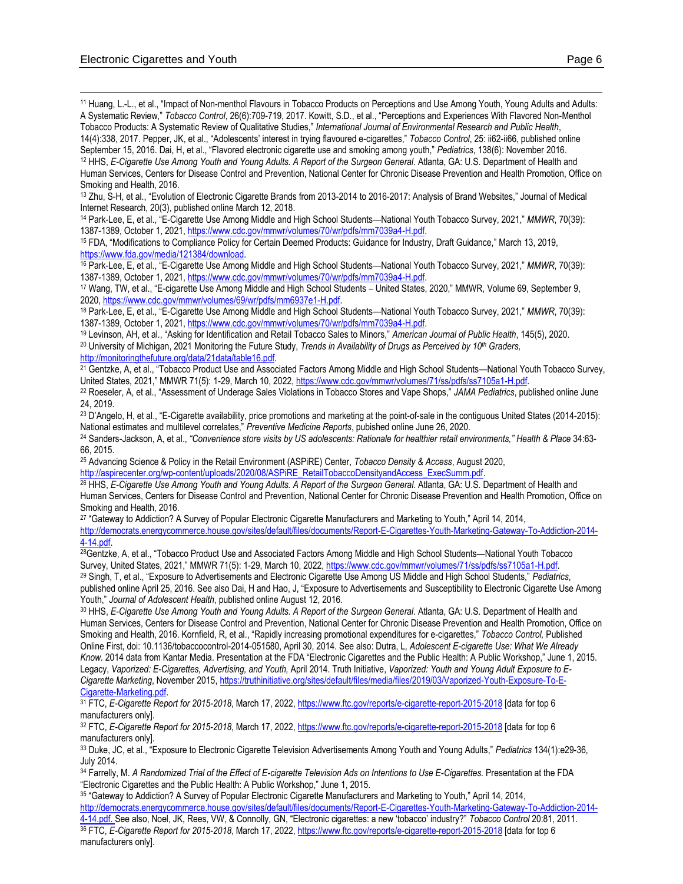<sup>11</sup> Huang, L.-L., et al., "Impact of Non-menthol Flavours in Tobacco Products on Perceptions and Use Among Youth, Young Adults and Adults: A Systematic Review," *Tobacco Control*, 26(6):709-719, 2017. Kowitt, S.D., et al., "Perceptions and Experiences With Flavored Non-Menthol Tobacco Products: A Systematic Review of Qualitative Studies," *International Journal of Environmental Research and Public Health*,

14(4):338, 2017. Pepper, JK, et al., "Adolescents' interest in trying flavoured e-cigarettes," *Tobacco Control*, 25: ii62-ii66, published online September 15, 2016. Dai, H, et al., "Flavored electronic cigarette use and smoking among youth," *Pediatrics*, 138(6): November 2016. <sup>12</sup> HHS, *E-Cigarette Use Among Youth and Young Adults. A Report of the Surgeon General*. Atlanta, GA: U.S. Department of Health and Human Services, Centers for Disease Control and Prevention, National Center for Chronic Disease Prevention and Health Promotion, Office on Smoking and Health, 2016.

<sup>13</sup> Zhu, S-H, et al., "Evolution of Electronic Cigarette Brands from 2013-2014 to 2016-2017: Analysis of Brand Websites," Journal of Medical Internet Research, 20(3), published online March 12, 2018.

<sup>14</sup> Park-Lee, E, et al., "E-Cigarette Use Among Middle and High School Students—National Youth Tobacco Survey, 2021," *MMWR*, 70(39): 1387-1389, October 1, 2021[, https://www.cdc.gov/mmwr/volumes/70/wr/pdfs/mm7039a4-H.pdf.](https://www.cdc.gov/mmwr/volumes/70/wr/pdfs/mm7039a4-H.pdf) 

<sup>15</sup> FDA, "Modifications to Compliance Policy for Certain Deemed Products: Guidance for Industry, Draft Guidance," March 13, 2019, [https://www.fda.gov/media/121384/download.](https://www.fda.gov/media/121384/download)

<sup>16</sup> Park-Lee, E, et al., "E-Cigarette Use Among Middle and High School Students—National Youth Tobacco Survey, 2021," *MMWR*, 70(39): 1387-1389, October 1, 2021[, https://www.cdc.gov/mmwr/volumes/70/wr/pdfs/mm7039a4-H.pdf.](https://www.cdc.gov/mmwr/volumes/70/wr/pdfs/mm7039a4-H.pdf) 

<sup>17</sup> Wang, TW, et al., "E-cigarette Use Among Middle and High School Students – United States, 2020," MMWR, Volume 69, September 9, 2020[, https://www.cdc.gov/mmwr/volumes/69/wr/pdfs/mm6937e1-H.pdf.](https://www.cdc.gov/mmwr/volumes/69/wr/pdfs/mm6937e1-H.pdf)

<sup>18</sup> Park-Lee, E, et al., "E-Cigarette Use Among Middle and High School Students—National Youth Tobacco Survey, 2021," *MMWR*, 70(39): 1387-1389, October 1, 2021[, https://www.cdc.gov/mmwr/volumes/70/wr/pdfs/mm7039a4-H.pdf.](https://www.cdc.gov/mmwr/volumes/70/wr/pdfs/mm7039a4-H.pdf) 

<sup>19</sup> Levinson, AH, et al., "Asking for Identification and Retail Tobacco Sales to Minors," *American Journal of Public Health*, 145(5), 2020.

<sup>20</sup> University of Michigan, 2021 Monitoring the Future Study, *Trends in Availability of Drugs as Perceived by 10th Graders,*  [http://monitoringthefuture.org/data/21data/table16.pdf.](http://monitoringthefuture.org/data/21data/table16.pdf) 

<sup>21</sup> Gentzke, A, et al., "Tobacco Product Use and Associated Factors Among Middle and High School Students—National Youth Tobacco Survey, United States, 2021," MMWR 71(5): 1-29, March 10, 2022[, https://www.cdc.gov/mmwr/volumes/71/ss/pdfs/ss7105a1-H.pdf.](https://www.cdc.gov/mmwr/volumes/71/ss/pdfs/ss7105a1-H.pdf)

<sup>22</sup> Roeseler, A, et al., "Assessment of Underage Sales Violations in Tobacco Stores and Vape Shops," *JAMA Pediatrics*, published online June 24, 2019.

<sup>23</sup> D'Angelo, H, et al., "E-Cigarette availability, price promotions and marketing at the point-of-sale in the contiguous United States (2014-2015): National estimates and multilevel correlates," *Preventive Medicine Reports*, pubished online June 26, 2020.

<sup>24</sup> Sanders-Jackson, A, et al., *"Convenience store visits by US adolescents: Rationale for healthier retail environments," Health & Place* 34:63- 66, 2015.

<sup>25</sup> Advancing Science & Policy in the Retail Environment (ASPiRE) Center, *Tobacco Density & Access*, August 2020, [http://aspirecenter.org/wp-content/uploads/2020/08/ASPiRE\\_RetailTobaccoDensityandAccess\\_ExecSumm.pdf.](http://aspirecenter.org/wp-content/uploads/2020/08/ASPiRE_RetailTobaccoDensityandAccess_ExecSumm.pdf)

<sup>26</sup> HHS, *E-Cigarette Use Among Youth and Young Adults. A Report of the Surgeon General*. Atlanta, GA: U.S. Department of Health and Human Services, Centers for Disease Control and Prevention, National Center for Chronic Disease Prevention and Health Promotion, Office on Smoking and Health, 2016.

<sup>27</sup> "Gateway to Addiction? A Survey of Popular Electronic Cigarette Manufacturers and Marketing to Youth," April 14, 2014, [http://democrats.energycommerce.house.gov/sites/default/files/documents/Report-E-Cigarettes-Youth-Marketing-Gateway-To-Addiction-2014-](http://democrats.energycommerce.house.gov/sites/default/files/documents/Report-E-Cigarettes-Youth-Marketing-Gateway-To-Addiction-2014-4-14.pdf) [4-14.pdf.](http://democrats.energycommerce.house.gov/sites/default/files/documents/Report-E-Cigarettes-Youth-Marketing-Gateway-To-Addiction-2014-4-14.pdf)

<sup>28</sup>Gentzke, A, et al., "Tobacco Product Use and Associated Factors Among Middle and High School Students—National Youth Tobacco Survey, United States, 2021," MMWR 71(5): 1-29, March 10, 2022[, https://www.cdc.gov/mmwr/volumes/71/ss/pdfs/ss7105a1-H.pdf.](https://www.cdc.gov/mmwr/volumes/71/ss/pdfs/ss7105a1-H.pdf) <sup>29</sup> Singh, T, et al., "Exposure to Advertisements and Electronic Cigarette Use Among US Middle and High School Students," *Pediatrics*,

published online April 25, 2016. See also Dai, H and Hao, J, "Exposure to Advertisements and Susceptibility to Electronic Cigarette Use Among Youth," *Journal of Adolescent Health*, published online August 12, 2016.

<sup>30</sup> HHS, *E-Cigarette Use Among Youth and Young Adults. A Report of the Surgeon General*. Atlanta, GA: U.S. Department of Health and Human Services, Centers for Disease Control and Prevention, National Center for Chronic Disease Prevention and Health Promotion, Office on Smoking and Health, 2016. Kornfield, R, et al., "Rapidly increasing promotional expenditures for e-cigarettes," *Tobacco Control,* Published Online First, doi: 10.1136/tobaccocontrol-2014-051580, April 30, 2014. See also: Dutra, L, *Adolescent E-cigarette Use: What We Already Know.* 2014 data from Kantar Media. Presentation at the FDA "Electronic Cigarettes and the Public Health: A Public Workshop," June 1, 2015. Legacy, Vaporized: E-Cigarettes, Advertising, and Youth, April 2014. Truth Initiative, Vaporized: Youth and Young Adult Exposure to E-*Cigarette Marketing*, November 2015[, https://truthinitiative.org/sites/default/files/media/files/2019/03/Vaporized-Youth-Exposure-To-E-](https://truthinitiative.org/sites/default/files/media/files/2019/03/Vaporized-Youth-Exposure-To-E-Cigarette-Marketing.pdf)[Cigarette-Marketing.pdf.](https://truthinitiative.org/sites/default/files/media/files/2019/03/Vaporized-Youth-Exposure-To-E-Cigarette-Marketing.pdf)

31 FTC, E-Cigarette Report for 2015-2018, March 17, 2022,<https://www.ftc.gov/reports/e-cigarette-report-2015-2018> [data for top 6 manufacturers only].

<sup>32</sup> FTC, *E-Cigarette Report for 2015-2018*, March 17, 2022,<https://www.ftc.gov/reports/e-cigarette-report-2015-2018> [data for top 6 manufacturers only].

<sup>33</sup> Duke, JC, et al., "Exposure to Electronic Cigarette Television Advertisements Among Youth and Young Adults," *Pediatrics* 134(1):e29-36, July 2014.

<sup>34</sup> Farrelly, M. *A Randomized Trial of the Effect of E-cigarette Television Ads on Intentions to Use E-Cigarettes.* Presentation at the FDA "Electronic Cigarettes and the Public Health: A Public Workshop," June 1, 2015.

<sup>35</sup> "Gateway to Addiction? A Survey of Popular Electronic Cigarette Manufacturers and Marketing to Youth," April 14, 2014, [http://democrats.energycommerce.house.gov/sites/default/files/documents/Report-E-Cigarettes-Youth-Marketing-Gateway-To-Addiction-2014-](http://democrats.energycommerce.house.gov/sites/default/files/documents/Report-E-Cigarettes-Youth-Marketing-Gateway-To-Addiction-2014-4-14.pdf) [4-14.pdf.](http://democrats.energycommerce.house.gov/sites/default/files/documents/Report-E-Cigarettes-Youth-Marketing-Gateway-To-Addiction-2014-4-14.pdf) See also, Noel, JK, Rees, VW, & Connolly, GN, "Electronic cigarettes: a new 'tobacco' industry?" *Tobacco Control* 20:81, 2011. 36 FTC, *E-Cigarette Report for 2015-2018*, March 17, 2022,<https://www.ftc.gov/reports/e-cigarette-report-2015-2018> [data for top 6 manufacturers only].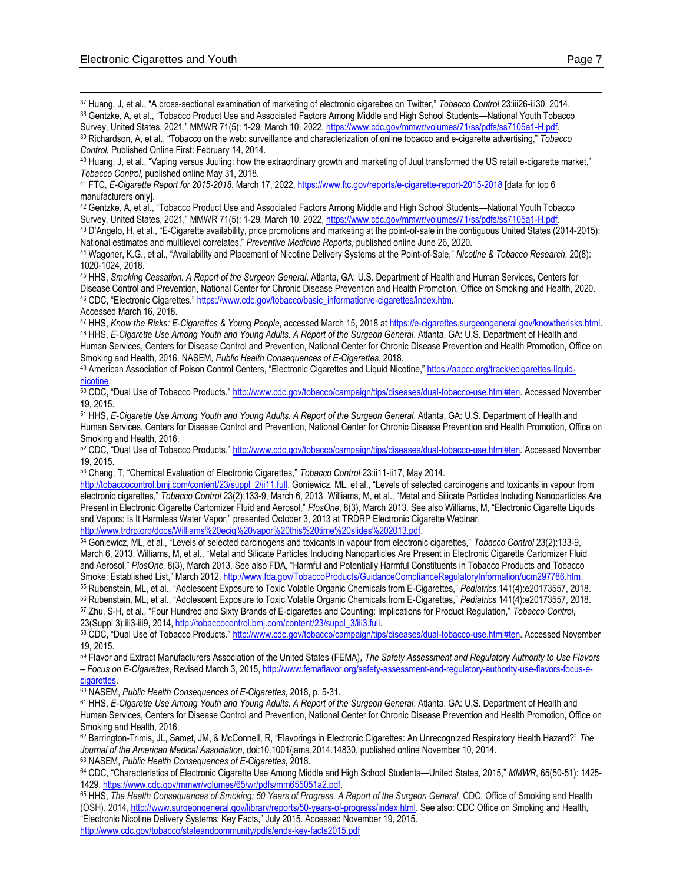<sup>37</sup> Huang, J, et al., "A cross-sectional examination of marketing of electronic cigarettes on Twitter," *Tobacco Control* 23:iii26-iii30, 2014. <sup>38</sup> Gentzke, A, et al., "Tobacco Product Use and Associated Factors Among Middle and High School Students—National Youth Tobacco Survey, United States, 2021," MMWR 71(5): 1-29, March 10, 2022[, https://www.cdc.gov/mmwr/volumes/71/ss/pdfs/ss7105a1-H.pdf.](https://www.cdc.gov/mmwr/volumes/71/ss/pdfs/ss7105a1-H.pdf)

<sup>39</sup> Richardson, A, et al., "Tobacco on the web: surveillance and characterization of online tobacco and e-cigarette advertising," *Tobacco Control,* Published Online First: February 14, 2014.

<sup>40</sup> Huang, J, et al., "Vaping versus Juuling: how the extraordinary growth and marketing of Juul transformed the US retail e-cigarette market," *Tobacco Control*, published online May 31, 2018.

<sup>41</sup> FTC, *E-Cigarette Report for 2015-2018*, March 17, 2022,<https://www.ftc.gov/reports/e-cigarette-report-2015-2018> [data for top 6 manufacturers only].

<sup>42</sup> Gentzke, A, et al., "Tobacco Product Use and Associated Factors Among Middle and High School Students—National Youth Tobacco Survey, United States, 2021," MMWR 71(5): 1-29, March 10, 2022[, https://www.cdc.gov/mmwr/volumes/71/ss/pdfs/ss7105a1-H.pdf.](https://www.cdc.gov/mmwr/volumes/71/ss/pdfs/ss7105a1-H.pdf) 

<sup>43</sup> D'Angelo, H, et al., "E-Cigarette availability, price promotions and marketing at the point-of-sale in the contiguous United States (2014-2015): National estimates and multilevel correlates," *Preventive Medicine Reports*, published online June 26, 2020.

<sup>44</sup> Wagoner, K.G., et al., "Availability and Placement of Nicotine Delivery Systems at the Point-of-Sale," *Nicotine & Tobacco Research*, 20(8): 1020-1024, 2018.

<sup>45</sup> HHS, *Smoking Cessation. A Report of the Surgeon General*. Atlanta, GA: U.S. Department of Health and Human Services, Centers for Disease Control and Prevention, National Center for Chronic Disease Prevention and Health Promotion, Office on Smoking and Health, 2020. <sup>46</sup> CDC, "Electronic Cigarettes." [https://www.cdc.gov/tobacco/basic\\_information/e-cigarettes/index.htm.](https://www.cdc.gov/tobacco/basic_information/e-cigarettes/index.htm) 

<sup>47</sup> HHS, *Know the Risks: E-Cigarettes & Young People*, accessed March 15, 2018 a[t https://e-cigarettes.surgeongeneral.gov/knowtherisks.html.](https://e-cigarettes.surgeongeneral.gov/knowtherisks.html) <sup>48</sup> HHS, *E-Cigarette Use Among Youth and Young Adults. A Report of the Surgeon General*. Atlanta, GA: U.S. Department of Health and Human Services, Centers for Disease Control and Prevention, National Center for Chronic Disease Prevention and Health Promotion, Office on Smoking and Health, 2016. NASEM, *Public Health Consequences of E-Cigarettes*, 2018.

49 American Association of Poison Control Centers, "Electronic Cigarettes and Liquid Nicotine," [https://aapcc.org/track/ecigarettes-liquid](https://aapcc.org/track/ecigarettes-liquid-nicotine)[nicotine.](https://aapcc.org/track/ecigarettes-liquid-nicotine) 

<sup>50</sup> CDC, "Dual Use of Tobacco Products." [http://www.cdc.gov/tobacco/campaign/tips/diseases/dual-tobacco-use.html#ten.](http://www.cdc.gov/tobacco/campaign/tips/diseases/dual-tobacco-use.html#ten) Accessed November 19, 2015.

<sup>51</sup> HHS, *E-Cigarette Use Among Youth and Young Adults. A Report of the Surgeon General*. Atlanta, GA: U.S. Department of Health and Human Services, Centers for Disease Control and Prevention, National Center for Chronic Disease Prevention and Health Promotion, Office on Smoking and Health, 2016.

52 CDC. "Dual Use of Tobacco Products." [http://www.cdc.gov/tobacco/campaign/tips/diseases/dual-tobacco-use.html#ten.](http://www.cdc.gov/tobacco/campaign/tips/diseases/dual-tobacco-use.html#ten) Accessed November 19, 2015.

<sup>53</sup> Cheng, T, "Chemical Evaluation of Electronic Cigarettes," *Tobacco Control* 23:ii11-ii17, May 2014.

[http://tobaccocontrol.bmj.com/content/23/suppl\\_2/ii11.full](http://tobaccocontrol.bmj.com/content/23/suppl_2/ii11.full). Goniewicz, ML, et al., "Levels of selected carcinogens and toxicants in vapour from electronic cigarettes," *Tobacco Control* 23(2):133-9, March 6, 2013. Williams, M, et al., "Metal and Silicate Particles Including Nanoparticles Are Present in Electronic Cigarette Cartomizer Fluid and Aerosol," *PlosOne,* 8(3), March 2013. See also Williams, M, "Electronic Cigarette Liquids and Vapors: Is It Harmless Water Vapor," presented October 3, 2013 at TRDRP Electronic Cigarette Webinar,

[http://www.trdrp.org/docs/Williams%20ecig%20vapor%20this%20time%20slides%202013.pdf.](http://www.trdrp.org/docs/Williams%20ecig%20vapor%20this%20time%20slides%202013.pdf)

<sup>54</sup> Goniewicz, ML, et al., "Levels of selected carcinogens and toxicants in vapour from electronic cigarettes," *Tobacco Control* 23(2):133-9, March 6, 2013. Williams, M, et al., "Metal and Silicate Particles Including Nanoparticles Are Present in Electronic Cigarette Cartomizer Fluid and Aerosol," *PlosOne,* 8(3), March 2013. See also FDA, "Harmful and Potentially Harmful Constituents in Tobacco Products and Tobacco Smoke: Established List," March 2012, [http://www.fda.gov/TobaccoProducts/GuidanceComplianceRegulatoryInformation/ucm297786.htm.](http://www.fda.gov/TobaccoProducts/GuidanceComplianceRegulatoryInformation/ucm297786.htm)

 Rubenstein, ML, et al., "Adolescent Exposure to Toxic Volatile Organic Chemicals from E-Cigarettes," *Pediatrics* 141(4):e20173557, 2018. Rubenstein, ML, et al., "Adolescent Exposure to Toxic Volatile Organic Chemicals from E-Cigarettes," *Pediatrics* 141(4):e20173557, 2018. Zhu, S-H, et al., "Four Hundred and Sixty Brands of E-cigarettes and Counting: Implications for Product Regulation," *Tobacco Control*, 23(Suppl 3):iii3-iii9, 2014[, http://tobaccocontrol.bmj.com/content/23/suppl\\_3/iii3.full.](http://tobaccocontrol.bmj.com/content/23/suppl_3/iii3.full)

<sup>58</sup> CDC, "Dual Use of Tobacco Products." [http://www.cdc.gov/tobacco/campaign/tips/diseases/dual-tobacco-use.html#ten.](http://www.cdc.gov/tobacco/campaign/tips/diseases/dual-tobacco-use.html#ten) Accessed November 19, 2015.

<sup>59</sup> Flavor and Extract Manufacturers Association of the United States (FEMA), *The Safety Assessment and Regulatory Authority to Use Flavors – Focus on E-Cigarettes*, Revised March 3, 2015[, http://www.femaflavor.org/safety-assessment-and-regulatory-authority-use-flavors-focus-e](http://www.femaflavor.org/safety-assessment-and-regulatory-authority-use-flavors-focus-e-cigarettes)cigarettes

<sup>60</sup> NASEM, *Public Health Consequences of E-Cigarettes*, 2018, p. 5-31.

<sup>61</sup> HHS, *E-Cigarette Use Among Youth and Young Adults. A Report of the Surgeon General. Atlanta, GA: U.S. Department of Health and* Human Services, Centers for Disease Control and Prevention, National Center for Chronic Disease Prevention and Health Promotion, Office on Smoking and Health, 2016.

<sup>62</sup> Barrington-Trimis, JL, Samet, JM, & McConnell, R, "Flavorings in Electronic Cigarettes: An Unrecognized Respiratory Health Hazard?" *The Journal of the American Medical Association*, doi:10.1001/jama.2014.14830, published online November 10, 2014. <sup>63</sup> NASEM, *Public Health Consequences of E-Cigarettes*, 2018.

<sup>64</sup> CDC, "Characteristics of Electronic Cigarette Use Among Middle and High School Students—United States, 2015," *MMWR*, 65(50-51): 1425- 1429[, https://www.cdc.gov/mmwr/volumes/65/wr/pdfs/mm655051a2.pdf.](https://www.cdc.gov/mmwr/volumes/65/wr/pdfs/mm655051a2.pdf) 

<sup>65</sup> HHS, *The Health Consequences of Smoking: 50 Years of Progress. A Report of the Surgeon General,* CDC, Office of Smoking and Health (OSH), 2014[, http://www.surgeongeneral.gov/library/reports/50-years-of-progress/index.html.](http://www.surgeongeneral.gov/library/reports/50-years-of-progress/index.html) See also: CDC Office on Smoking and Health, "Electronic Nicotine Delivery Systems: Key Facts," July 2015. Accessed November 19, 2015. http://www.cdc.gov/tobacco/stateandcommunity/pdfs/ends-key-facts2015.pdf

Accessed March 16, 2018.